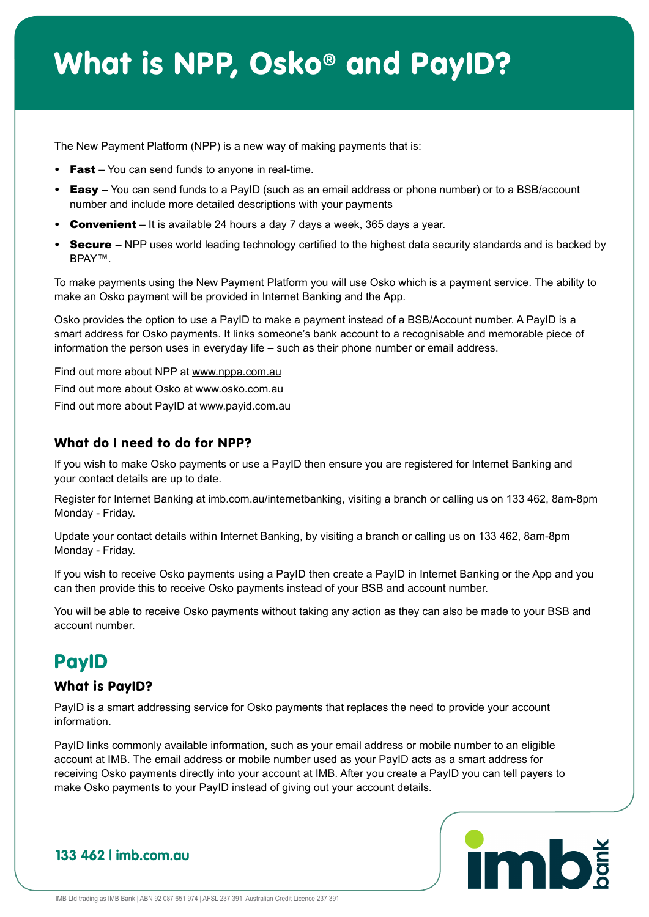## What is NPP, Osko® and PayID?

The New Payment Platform (NPP) is a new way of making payments that is:

- Fast You can send funds to anyone in real-time.
- Easy You can send funds to a PayID (such as an email address or phone number) or to a BSB/account number and include more detailed descriptions with your payments
- Convenient It is available 24 hours a day 7 days a week, 365 days a year.
- Secure NPP uses world leading technology certified to the highest data security standards and is backed by BPAY™.

To make payments using the New Payment Platform you will use Osko which is a payment service. The ability to make an Osko payment will be provided in Internet Banking and the App.

Osko provides the option to use a PayID to make a payment instead of a BSB/Account number. A PayID is a smart address for Osko payments. It links someone's bank account to a recognisable and memorable piece of information the person uses in everyday life – such as their phone number or email address.

Find out more about NPP at www.nppa.com.au Find out more about Osko at www.osko.com.au Find out more about PayID at www.payid.com.au

#### What do I need to do for NPP?

If you wish to make Osko payments or use a PayID then ensure you are registered for Internet Banking and your contact details are up to date.

Register for Internet Banking at imb.com.au/internetbanking, visiting a branch or calling us on 133 462, 8am-8pm Monday - Friday.

Update your contact details within Internet Banking, by visiting a branch or calling us on 133 462, 8am-8pm Monday - Friday.

If you wish to receive Osko payments using a PayID then create a PayID in Internet Banking or the App and you can then provide this to receive Osko payments instead of your BSB and account number.

You will be able to receive Osko payments without taking any action as they can also be made to your BSB and account number.

## PayID

#### What is PayID?

PayID is a smart addressing service for Osko payments that replaces the need to provide your account information.

PayID links commonly available information, such as your email address or mobile number to an eligible account at IMB. The email address or mobile number used as your PayID acts as a smart address for receiving Osko payments directly into your account at IMB. After you create a PayID you can tell payers to make Osko payments to your PayID instead of giving out your account details.

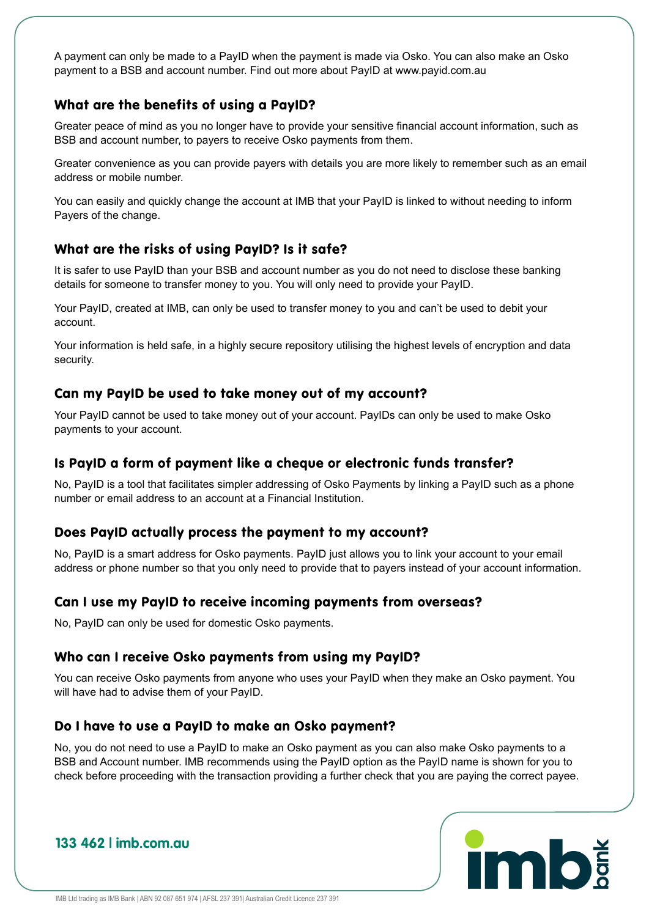A payment can only be made to a PayID when the payment is made via Osko. You can also make an Osko payment to a BSB and account number. Find out more about PayID at www.payid.com.au

#### What are the benefits of using a PayID?

Greater peace of mind as you no longer have to provide your sensitive financial account information, such as BSB and account number, to payers to receive Osko payments from them.

Greater convenience as you can provide payers with details you are more likely to remember such as an email address or mobile number.

You can easily and quickly change the account at IMB that your PayID is linked to without needing to inform Payers of the change.

#### What are the risks of using PayID? Is it safe?

It is safer to use PayID than your BSB and account number as you do not need to disclose these banking details for someone to transfer money to you. You will only need to provide your PayID.

Your PayID, created at IMB, can only be used to transfer money to you and can't be used to debit your account.

Your information is held safe, in a highly secure repository utilising the highest levels of encryption and data security.

#### Can my PayID be used to take money out of my account?

Your PayID cannot be used to take money out of your account. PayIDs can only be used to make Osko payments to your account.

#### Is PayID a form of payment like a cheque or electronic funds transfer?

No, PayID is a tool that facilitates simpler addressing of Osko Payments by linking a PayID such as a phone number or email address to an account at a Financial Institution.

#### Does PayID actually process the payment to my account?

No, PayID is a smart address for Osko payments. PayID just allows you to link your account to your email address or phone number so that you only need to provide that to payers instead of your account information.

#### Can I use my PayID to receive incoming payments from overseas?

No, PayID can only be used for domestic Osko payments.

#### Who can I receive Osko payments from using my PayID?

You can receive Osko payments from anyone who uses your PayID when they make an Osko payment. You will have had to advise them of your PayID.

#### Do I have to use a PayID to make an Osko payment?

No, you do not need to use a PayID to make an Osko payment as you can also make Osko payments to a BSB and Account number. IMB recommends using the PayID option as the PayID name is shown for you to check before proceeding with the transaction providing a further check that you are paying the correct payee.

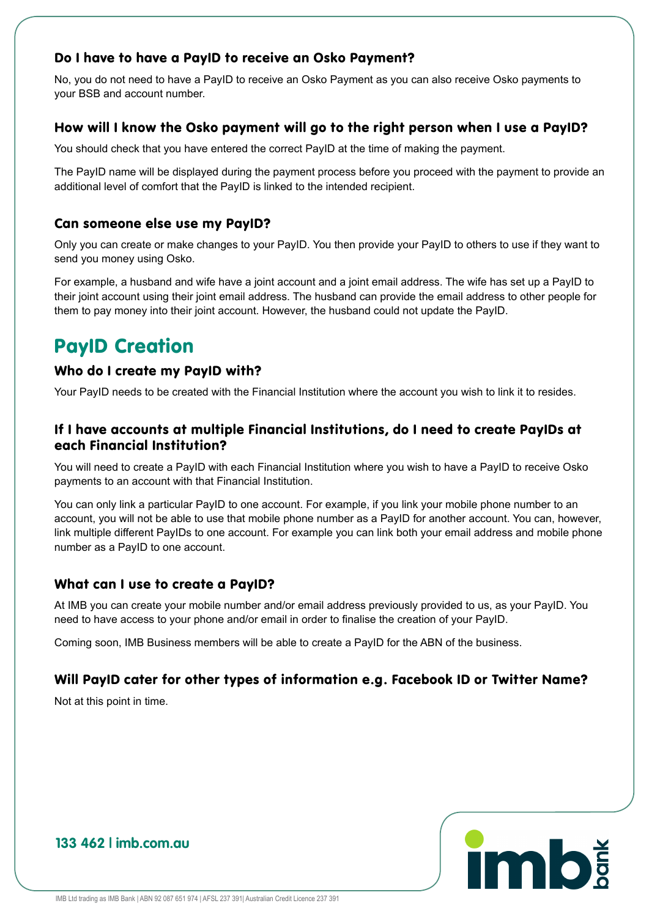#### Do I have to have a PayID to receive an Osko Payment?

No, you do not need to have a PayID to receive an Osko Payment as you can also receive Osko payments to your BSB and account number.

#### How will I know the Osko payment will go to the right person when I use a PayID?

You should check that you have entered the correct PayID at the time of making the payment.

The PayID name will be displayed during the payment process before you proceed with the payment to provide an additional level of comfort that the PayID is linked to the intended recipient.

#### Can someone else use my PayID?

Only you can create or make changes to your PayID. You then provide your PayID to others to use if they want to send you money using Osko.

For example, a husband and wife have a joint account and a joint email address. The wife has set up a PayID to their joint account using their joint email address. The husband can provide the email address to other people for them to pay money into their joint account. However, the husband could not update the PayID.

## PayID Creation

#### Who do I create my PayID with?

Your PayID needs to be created with the Financial Institution where the account you wish to link it to resides.

#### If I have accounts at multiple Financial Institutions, do I need to create PayIDs at each Financial Institution?

You will need to create a PayID with each Financial Institution where you wish to have a PayID to receive Osko payments to an account with that Financial Institution.

You can only link a particular PayID to one account. For example, if you link your mobile phone number to an account, you will not be able to use that mobile phone number as a PayID for another account. You can, however, link multiple different PayIDs to one account. For example you can link both your email address and mobile phone number as a PayID to one account.

#### What can I use to create a PayID?

At IMB you can create your mobile number and/or email address previously provided to us, as your PayID. You need to have access to your phone and/or email in order to finalise the creation of your PayID.

Coming soon, IMB Business members will be able to create a PayID for the ABN of the business.

#### Will PayID cater for other types of information e.g. Facebook ID or Twitter Name?

Not at this point in time.

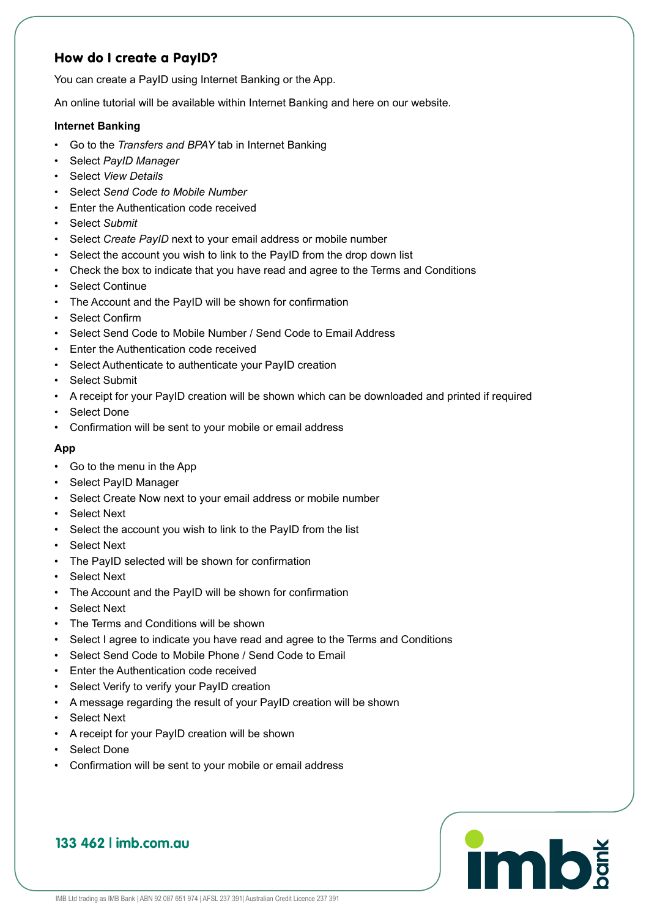#### How do I create a PayID?

You can create a PayID using Internet Banking or the App.

An online tutorial will be available within Internet Banking and here on our website.

#### **Internet Banking**

- Go to the *Transfers and BPAY* tab in Internet Banking
- Select *PayID Manager*
- Select *View Details*
- Select *Send Code to Mobile Number*
- Enter the Authentication code received
- Select *Submit*
- Select *Create PayID* next to your email address or mobile number
- Select the account you wish to link to the PayID from the drop down list
- Check the box to indicate that you have read and agree to the Terms and Conditions
- Select Continue
- The Account and the PayID will be shown for confirmation
- Select Confirm
- Select Send Code to Mobile Number / Send Code to Email Address
- Enter the Authentication code received
- Select Authenticate to authenticate your PayID creation
- Select Submit
- A receipt for your PayID creation will be shown which can be downloaded and printed if required
- Select Done
- Confirmation will be sent to your mobile or email address

#### **App**

- Go to the menu in the App
- Select PayID Manager
- Select Create Now next to your email address or mobile number
- Select Next
- Select the account you wish to link to the PayID from the list
- Select Next
- The PayID selected will be shown for confirmation
- Select Next
- The Account and the PayID will be shown for confirmation
- Select Next
- The Terms and Conditions will be shown
- Select I agree to indicate you have read and agree to the Terms and Conditions

**imb** 

- Select Send Code to Mobile Phone / Send Code to Email
- Enter the Authentication code received
- Select Verify to verify your PayID creation
- A message regarding the result of your PayID creation will be shown
- Select Next
- A receipt for your PayID creation will be shown
- Select Done
- Confirmation will be sent to your mobile or email address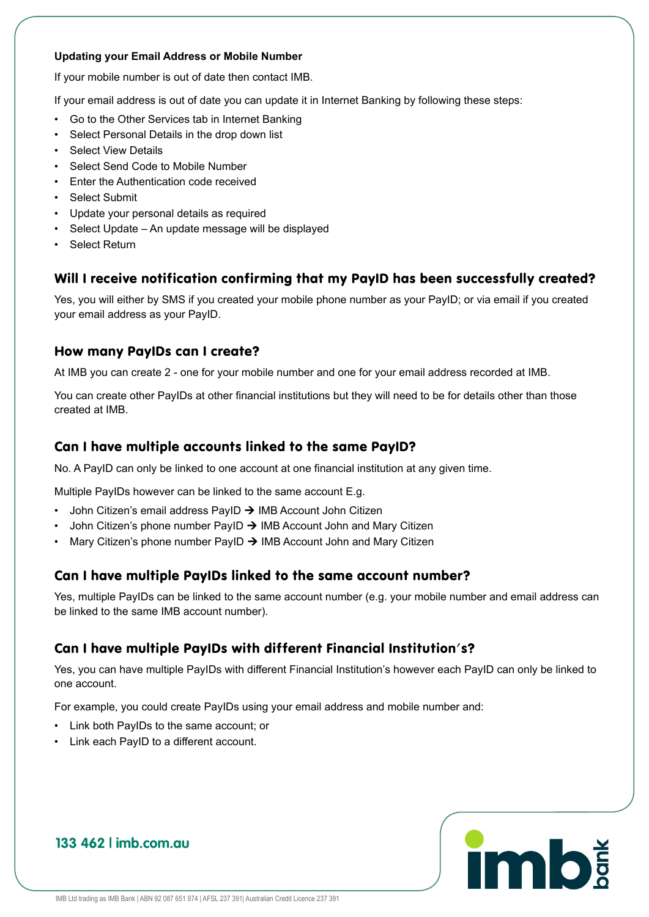#### **Updating your Email Address or Mobile Number**

If your mobile number is out of date then contact IMB.

If your email address is out of date you can update it in Internet Banking by following these steps:

- Go to the Other Services tab in Internet Banking
- Select Personal Details in the drop down list
- Select View Details
- Select Send Code to Mobile Number
- Enter the Authentication code received
- Select Submit
- Update your personal details as required
- Select Update An update message will be displayed
- Select Return

#### Will I receive notification confirming that my PayID has been successfully created?

Yes, you will either by SMS if you created your mobile phone number as your PayID; or via email if you created your email address as your PayID.

#### How many PayIDs can I create?

At IMB you can create 2 - one for your mobile number and one for your email address recorded at IMB.

You can create other PayIDs at other financial institutions but they will need to be for details other than those created at IMB.

#### Can I have multiple accounts linked to the same PayID?

No. A PayID can only be linked to one account at one financial institution at any given time.

Multiple PayIDs however can be linked to the same account E.g.

- John Citizen's email address PayID  $\rightarrow$  IMB Account John Citizen
- John Citizen's phone number PayID  $\rightarrow$  IMB Account John and Mary Citizen
- Mary Citizen's phone number PayID  $\rightarrow$  IMB Account John and Mary Citizen

#### Can I have multiple PayIDs linked to the same account number?

Yes, multiple PayIDs can be linked to the same account number (e.g. your mobile number and email address can be linked to the same IMB account number).

#### Can I have multiple PayIDs with different Financial Institution's?

Yes, you can have multiple PayIDs with different Financial Institution's however each PayID can only be linked to one account.

For example, you could create PayIDs using your email address and mobile number and:

- Link both PayIDs to the same account; or
- Link each PayID to a different account.

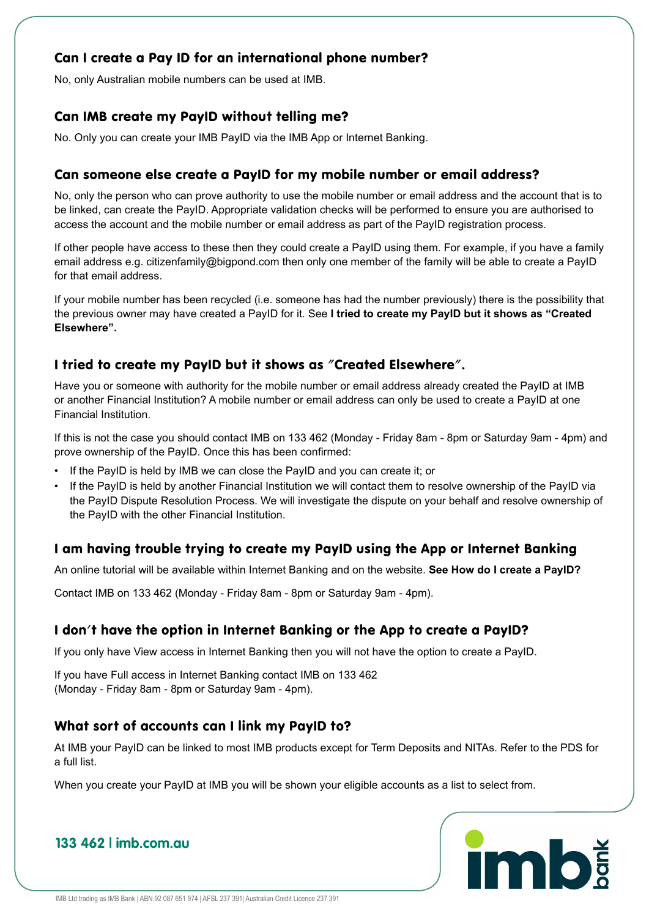#### Can I create a Pay ID for an international phone number?

No, only Australian mobile numbers can be used at IMB.

#### Can IMB create my PayID without telling me?

No. Only you can create your IMB PayID via the IMB App or Internet Banking.

#### Can someone else create a PayID for my mobile number or email address?

No, only the person who can prove authority to use the mobile number or email address and the account that is to be linked, can create the PayID. Appropriate validation checks will be performed to ensure you are authorised to access the account and the mobile number or email address as part of the PayID registration process.

If other people have access to these then they could create a PayID using them. For example, if you have a family email address e.g. citizenfamily@bigpond.com then only one member of the family will be able to create a PayID for that email address.

If your mobile number has been recycled (i.e. someone has had the number previously) there is the possibility that the previous owner may have created a PayID for it. See **I tried to create my PayID but it shows as "Created Elsewhere".**

#### I tried to create my PayID but it shows as "Created Elsewhere".

Have you or someone with authority for the mobile number or email address already created the PayID at IMB or another Financial Institution? A mobile number or email address can only be used to create a PayID at one Financial Institution.

If this is not the case you should contact IMB on 133 462 (Monday - Friday 8am - 8pm or Saturday 9am - 4pm) and prove ownership of the PayID. Once this has been confirmed:

- If the PayID is held by IMB we can close the PayID and you can create it; or
- If the PayID is held by another Financial Institution we will contact them to resolve ownership of the PayID via the PayID Dispute Resolution Process. We will investigate the dispute on your behalf and resolve ownership of the PayID with the other Financial Institution.

#### I am having trouble trying to create my PayID using the App or Internet Banking

An online tutorial will be available within Internet Banking and on the website. **See How do I create a PayID?**

Contact IMB on 133 462 (Monday - Friday 8am - 8pm or Saturday 9am - 4pm).

#### I don't have the option in Internet Banking or the App to create a PayID?

If you only have View access in Internet Banking then you will not have the option to create a PayID.

If you have Full access in Internet Banking contact IMB on 133 462 (Monday - Friday 8am - 8pm or Saturday 9am - 4pm).

#### What sort of accounts can I link my PayID to?

At IMB your PayID can be linked to most IMB products except for Term Deposits and NITAs. Refer to the PDS for a full list.

When you create your PayID at IMB you will be shown your eligible accounts as a list to select from.

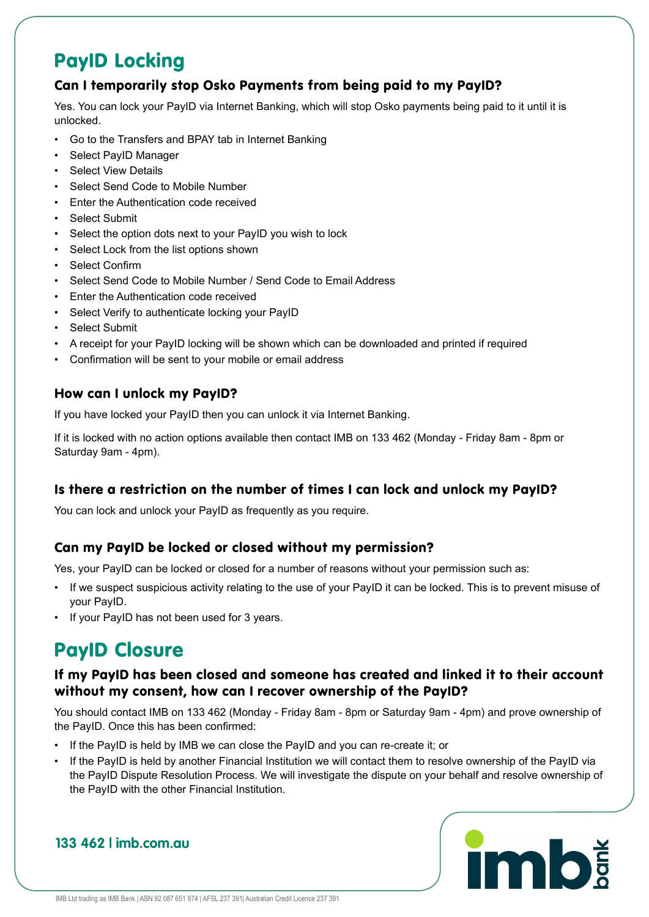## PayID Locking

#### Can I temporarily stop Osko Payments from being paid to my PayID?

Yes. You can lock your PayID via Internet Banking, which will stop Osko payments being paid to it until it is unlocked.

- Go to the Transfers and BPAY tab in Internet Banking
- Select PayID Manager
- **Select View Details**
- Select Send Code to Mobile Number
- Enter the Authentication code received
- Select Submit
- Select the option dots next to your PayID you wish to lock
- Select Lock from the list options shown
- Select Confirm
- Select Send Code to Mobile Number / Send Code to Email Address
- Enter the Authentication code received
- Select Verify to authenticate locking your PayID
- Select Submit
- A receipt for your PayID locking will be shown which can be downloaded and printed if required
- Confirmation will be sent to your mobile or email address

#### How can I unlock my PayID?

If you have locked your PayID then you can unlock it via Internet Banking.

If it is locked with no action options available then contact IMB on 133 462 (Monday - Friday 8am - 8pm or Saturday 9am - 4pm).

#### Is there a restriction on the number of times I can lock and unlock my PayID?

You can lock and unlock your PayID as frequently as you require.

#### Can my PayID be locked or closed without my permission?

Yes, your PayID can be locked or closed for a number of reasons without your permission such as:

- If we suspect suspicious activity relating to the use of your PayID it can be locked. This is to prevent misuse of your PayID.
- If your PayID has not been used for 3 years.

## PayID Closure

#### If my PayID has been closed and someone has created and linked it to their account without my consent, how can I recover ownership of the PayID?

You should contact IMB on 133 462 (Monday - Friday 8am - 8pm or Saturday 9am - 4pm) and prove ownership of the PayID. Once this has been confirmed:

- If the PayID is held by IMB we can close the PayID and you can re-create it; or
- If the PayID is held by another Financial Institution we will contact them to resolve ownership of the PayID via the PayID Dispute Resolution Process. We will investigate the dispute on your behalf and resolve ownership of the PayID with the other Financial Institution.

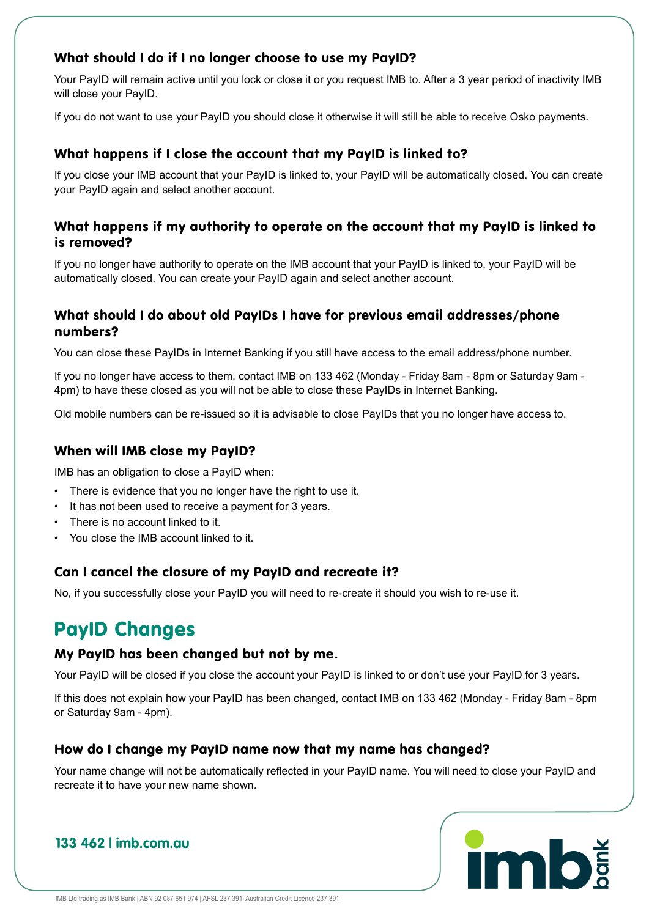#### What should I do if I no longer choose to use my PayID?

Your PayID will remain active until you lock or close it or you request IMB to. After a 3 year period of inactivity IMB will close your PayID.

If you do not want to use your PayID you should close it otherwise it will still be able to receive Osko payments.

#### What happens if I close the account that my PayID is linked to?

If you close your IMB account that your PayID is linked to, your PayID will be automatically closed. You can create your PayID again and select another account.

#### What happens if my authority to operate on the account that my PayID is linked to is removed?

If you no longer have authority to operate on the IMB account that your PayID is linked to, your PayID will be automatically closed. You can create your PayID again and select another account.

#### What should I do about old PayIDs I have for previous email addresses/phone numbers?

You can close these PayIDs in Internet Banking if you still have access to the email address/phone number.

If you no longer have access to them, contact IMB on 133 462 (Monday - Friday 8am - 8pm or Saturday 9am - 4pm) to have these closed as you will not be able to close these PayIDs in Internet Banking.

Old mobile numbers can be re-issued so it is advisable to close PayIDs that you no longer have access to.

#### When will IMB close my PayID?

IMB has an obligation to close a PayID when:

- There is evidence that you no longer have the right to use it.
- It has not been used to receive a payment for 3 years.
- There is no account linked to it.
- You close the IMB account linked to it.

#### Can I cancel the closure of my PayID and recreate it?

No, if you successfully close your PayID you will need to re-create it should you wish to re-use it.

## PayID Changes

#### My PayID has been changed but not by me.

Your PayID will be closed if you close the account your PayID is linked to or don't use your PayID for 3 years.

If this does not explain how your PayID has been changed, contact IMB on 133 462 (Monday - Friday 8am - 8pm or Saturday 9am - 4pm).

#### How do I change my PayID name now that my name has changed?

Your name change will not be automatically reflected in your PayID name. You will need to close your PayID and recreate it to have your new name shown.

## **imb**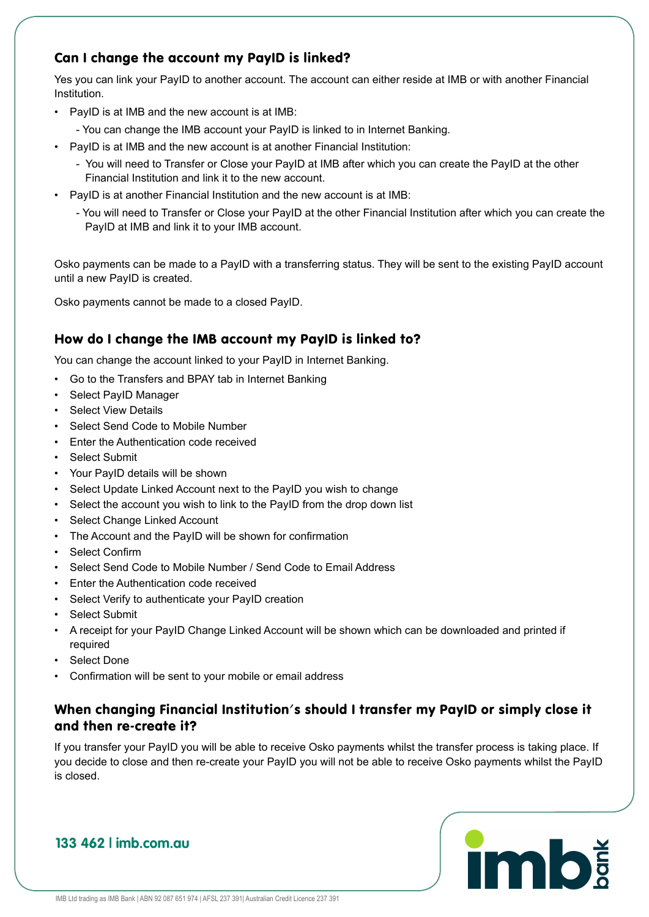#### Can I change the account my PayID is linked?

Yes you can link your PayID to another account. The account can either reside at IMB or with another Financial Institution.

- PayID is at IMB and the new account is at IMB:
- You can change the IMB account your PayID is linked to in Internet Banking.
- PayID is at IMB and the new account is at another Financial Institution:
	- You will need to Transfer or Close your PayID at IMB after which you can create the PayID at the other Financial Institution and link it to the new account.
- PayID is at another Financial Institution and the new account is at IMB:
	- You will need to Transfer or Close your PayID at the other Financial Institution after which you can create the PayID at IMB and link it to your IMB account.

Osko payments can be made to a PayID with a transferring status. They will be sent to the existing PayID account until a new PayID is created.

Osko payments cannot be made to a closed PayID.

#### How do I change the IMB account my PayID is linked to?

You can change the account linked to your PayID in Internet Banking.

- Go to the Transfers and BPAY tab in Internet Banking
- Select PayID Manager
- **Select View Details**
- Select Send Code to Mobile Number
- Enter the Authentication code received
- Select Submit
- Your PayID details will be shown
- Select Update Linked Account next to the PayID you wish to change
- Select the account you wish to link to the PayID from the drop down list
- Select Change Linked Account
- The Account and the PayID will be shown for confirmation
- Select Confirm
- Select Send Code to Mobile Number / Send Code to Email Address
- Enter the Authentication code received
- Select Verify to authenticate your PayID creation
- Select Submit
- A receipt for your PayID Change Linked Account will be shown which can be downloaded and printed if required
- Select Done
- Confirmation will be sent to your mobile or email address

#### When changing Financial Institution's should I transfer my PayID or simply close it and then re-create it?

If you transfer your PayID you will be able to receive Osko payments whilst the transfer process is taking place. If you decide to close and then re-create your PayID you will not be able to receive Osko payments whilst the PayID is closed.

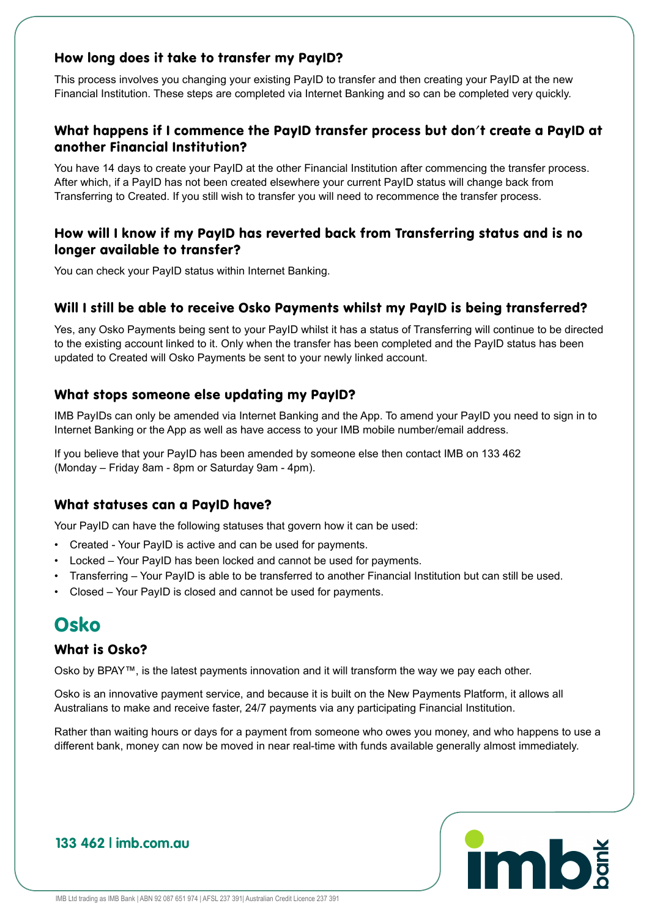#### How long does it take to transfer my PayID?

This process involves you changing your existing PayID to transfer and then creating your PayID at the new Financial Institution. These steps are completed via Internet Banking and so can be completed very quickly.

#### What happens if I commence the PayID transfer process but don't create a PayID at another Financial Institution?

You have 14 days to create your PayID at the other Financial Institution after commencing the transfer process. After which, if a PayID has not been created elsewhere your current PayID status will change back from Transferring to Created. If you still wish to transfer you will need to recommence the transfer process.

#### How will I know if my PayID has reverted back from Transferring status and is no longer available to transfer?

You can check your PayID status within Internet Banking.

#### Will I still be able to receive Osko Payments whilst my PayID is being transferred?

Yes, any Osko Payments being sent to your PayID whilst it has a status of Transferring will continue to be directed to the existing account linked to it. Only when the transfer has been completed and the PayID status has been updated to Created will Osko Payments be sent to your newly linked account.

#### What stops someone else updating my PayID?

IMB PayIDs can only be amended via Internet Banking and the App. To amend your PayID you need to sign in to Internet Banking or the App as well as have access to your IMB mobile number/email address.

If you believe that your PayID has been amended by someone else then contact IMB on 133 462 (Monday – Friday 8am - 8pm or Saturday 9am - 4pm).

#### What statuses can a PayID have?

Your PayID can have the following statuses that govern how it can be used:

- Created Your PayID is active and can be used for payments.
- Locked Your PayID has been locked and cannot be used for payments.
- Transferring Your PayID is able to be transferred to another Financial Institution but can still be used.
- Closed Your PayID is closed and cannot be used for payments.

## Osko

#### What is Osko?

Osko by BPAY™, is the latest payments innovation and it will transform the way we pay each other.

Osko is an innovative payment service, and because it is built on the New Payments Platform, it allows all Australians to make and receive faster, 24/7 payments via any participating Financial Institution.

Rather than waiting hours or days for a payment from someone who owes you money, and who happens to use a different bank, money can now be moved in near real-time with funds available generally almost immediately.

## **imb**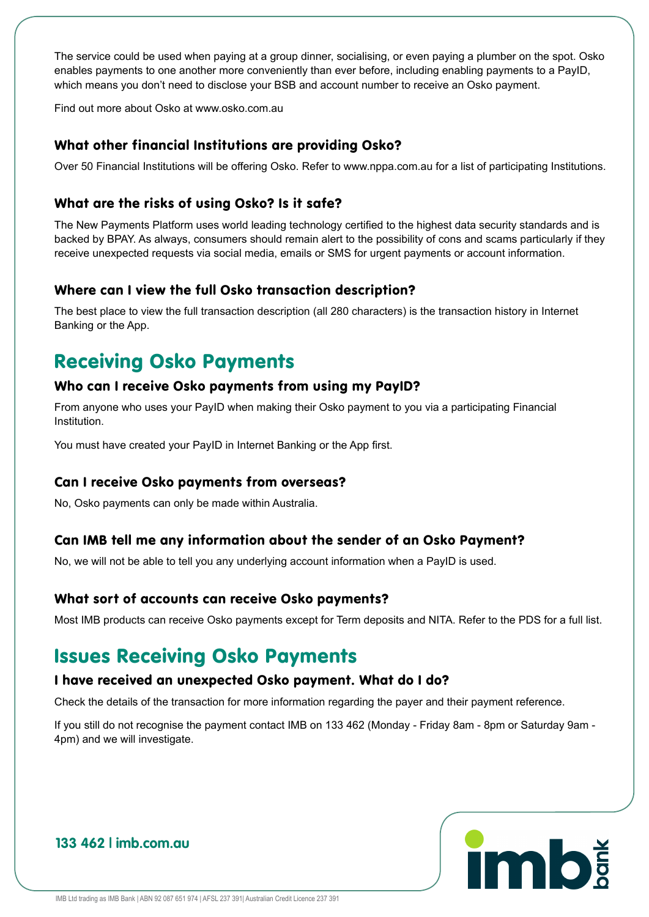The service could be used when paying at a group dinner, socialising, or even paying a plumber on the spot. Osko enables payments to one another more conveniently than ever before, including enabling payments to a PayID, which means you don't need to disclose your BSB and account number to receive an Osko payment.

Find out more about Osko at www.osko.com.au

#### What other financial Institutions are providing Osko?

Over 50 Financial Institutions will be offering Osko. Refer to www.nppa.com.au for a list of participating Institutions.

#### What are the risks of using Osko? Is it safe?

The New Payments Platform uses world leading technology certified to the highest data security standards and is backed by BPAY. As always, consumers should remain alert to the possibility of cons and scams particularly if they receive unexpected requests via social media, emails or SMS for urgent payments or account information.

#### Where can I view the full Osko transaction description?

The best place to view the full transaction description (all 280 characters) is the transaction history in Internet Banking or the App.

## Receiving Osko Payments

#### Who can I receive Osko payments from using my PayID?

From anyone who uses your PayID when making their Osko payment to you via a participating Financial Institution.

You must have created your PayID in Internet Banking or the App first.

#### Can I receive Osko payments from overseas?

No, Osko payments can only be made within Australia.

#### Can IMB tell me any information about the sender of an Osko Payment?

No, we will not be able to tell you any underlying account information when a PayID is used.

#### What sort of accounts can receive Osko payments?

Most IMB products can receive Osko payments except for Term deposits and NITA. Refer to the PDS for a full list.

### Issues Receiving Osko Payments

#### I have received an unexpected Osko payment. What do I do?

Check the details of the transaction for more information regarding the payer and their payment reference.

If you still do not recognise the payment contact IMB on 133 462 (Monday - Friday 8am - 8pm or Saturday 9am - 4pm) and we will investigate.

## **imb**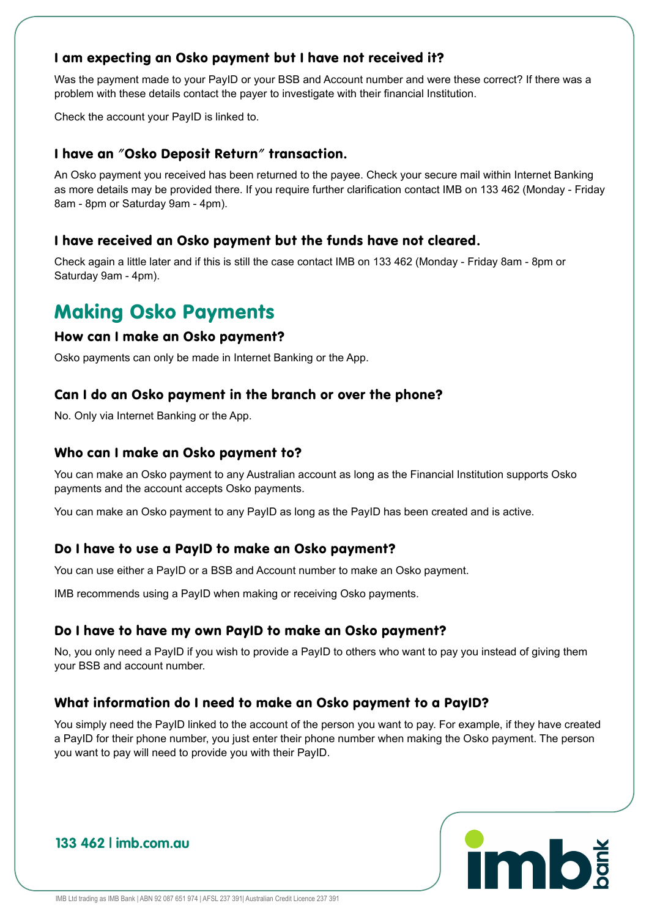#### I am expecting an Osko payment but I have not received it?

Was the payment made to your PayID or your BSB and Account number and were these correct? If there was a problem with these details contact the payer to investigate with their financial Institution.

Check the account your PayID is linked to.

#### I have an "Osko Deposit Return" transaction.

An Osko payment you received has been returned to the payee. Check your secure mail within Internet Banking as more details may be provided there. If you require further clarification contact IMB on 133 462 (Monday - Friday 8am - 8pm or Saturday 9am - 4pm).

#### I have received an Osko payment but the funds have not cleared.

Check again a little later and if this is still the case contact IMB on 133 462 (Monday - Friday 8am - 8pm or Saturday 9am - 4pm).

## Making Osko Payments

#### How can I make an Osko payment?

Osko payments can only be made in Internet Banking or the App.

#### Can I do an Osko payment in the branch or over the phone?

No. Only via Internet Banking or the App.

#### Who can I make an Osko payment to?

You can make an Osko payment to any Australian account as long as the Financial Institution supports Osko payments and the account accepts Osko payments.

You can make an Osko payment to any PayID as long as the PayID has been created and is active.

#### Do I have to use a PayID to make an Osko payment?

You can use either a PayID or a BSB and Account number to make an Osko payment.

IMB recommends using a PayID when making or receiving Osko payments.

#### Do I have to have my own PayID to make an Osko payment?

No, you only need a PayID if you wish to provide a PayID to others who want to pay you instead of giving them your BSB and account number.

#### What information do I need to make an Osko payment to a PayID?

You simply need the PayID linked to the account of the person you want to pay. For example, if they have created a PayID for their phone number, you just enter their phone number when making the Osko payment. The person you want to pay will need to provide you with their PayID.

# **imb**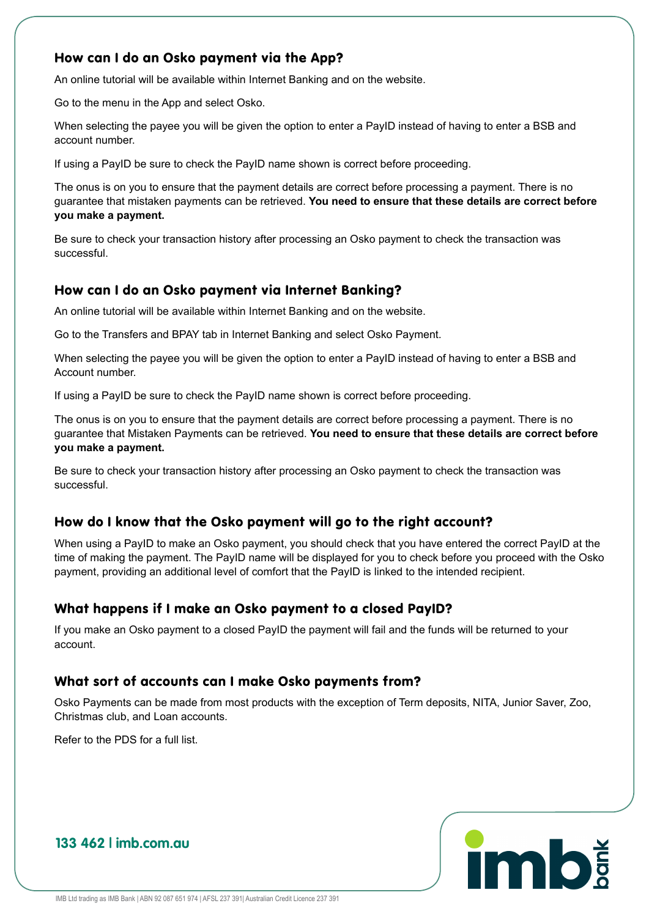#### How can I do an Osko payment via the App?

An online tutorial will be available within Internet Banking and on the website.

Go to the menu in the App and select Osko.

When selecting the payee you will be given the option to enter a PayID instead of having to enter a BSB and account number.

If using a PayID be sure to check the PayID name shown is correct before proceeding.

The onus is on you to ensure that the payment details are correct before processing a payment. There is no guarantee that mistaken payments can be retrieved. **You need to ensure that these details are correct before you make a payment.** 

Be sure to check your transaction history after processing an Osko payment to check the transaction was successful.

#### How can I do an Osko payment via Internet Banking?

An online tutorial will be available within Internet Banking and on the website.

Go to the Transfers and BPAY tab in Internet Banking and select Osko Payment.

When selecting the payee you will be given the option to enter a PayID instead of having to enter a BSB and Account number.

If using a PayID be sure to check the PayID name shown is correct before proceeding.

The onus is on you to ensure that the payment details are correct before processing a payment. There is no guarantee that Mistaken Payments can be retrieved. **You need to ensure that these details are correct before you make a payment.** 

Be sure to check your transaction history after processing an Osko payment to check the transaction was successful.

#### How do I know that the Osko payment will go to the right account?

When using a PayID to make an Osko payment, you should check that you have entered the correct PayID at the time of making the payment. The PayID name will be displayed for you to check before you proceed with the Osko payment, providing an additional level of comfort that the PayID is linked to the intended recipient.

#### What happens if I make an Osko payment to a closed PayID?

If you make an Osko payment to a closed PayID the payment will fail and the funds will be returned to your account.

#### What sort of accounts can I make Osko payments from?

Osko Payments can be made from most products with the exception of Term deposits, NITA, Junior Saver, Zoo, Christmas club, and Loan accounts.

Refer to the PDS for a full list.

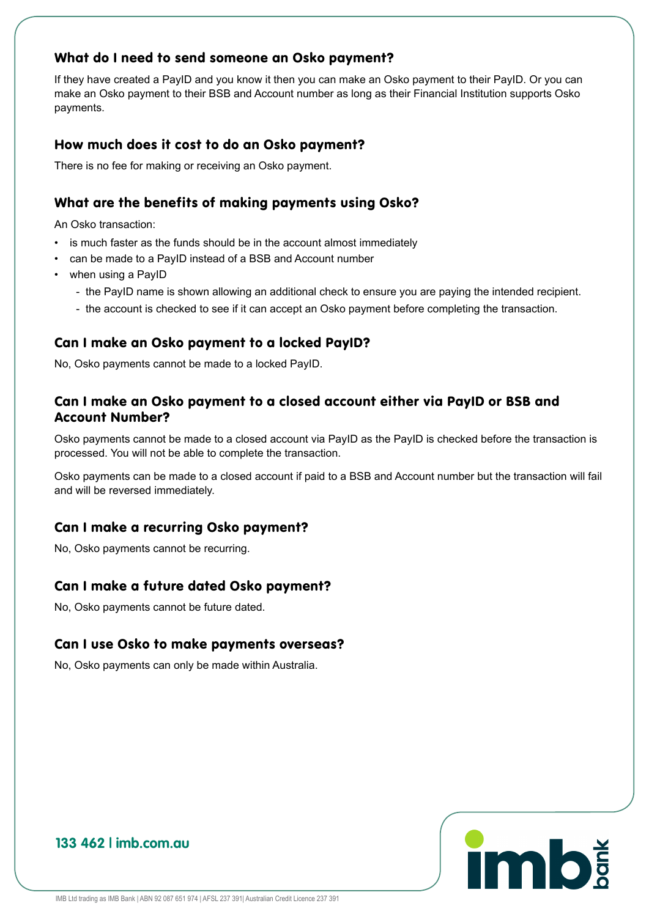#### What do I need to send someone an Osko payment?

If they have created a PayID and you know it then you can make an Osko payment to their PayID. Or you can make an Osko payment to their BSB and Account number as long as their Financial Institution supports Osko payments.

#### How much does it cost to do an Osko payment?

There is no fee for making or receiving an Osko payment.

#### What are the benefits of making payments using Osko?

An Osko transaction:

- is much faster as the funds should be in the account almost immediately
- can be made to a PayID instead of a BSB and Account number
- when using a PayID
	- the PayID name is shown allowing an additional check to ensure you are paying the intended recipient.
	- the account is checked to see if it can accept an Osko payment before completing the transaction.

#### Can I make an Osko payment to a locked PayID?

No, Osko payments cannot be made to a locked PayID.

#### Can I make an Osko payment to a closed account either via PayID or BSB and Account Number?

Osko payments cannot be made to a closed account via PayID as the PayID is checked before the transaction is processed. You will not be able to complete the transaction.

Osko payments can be made to a closed account if paid to a BSB and Account number but the transaction will fail and will be reversed immediately.

#### Can I make a recurring Osko payment?

No, Osko payments cannot be recurring.

#### Can I make a future dated Osko payment?

No, Osko payments cannot be future dated.

#### Can I use Osko to make payments overseas?

No, Osko payments can only be made within Australia.

## **imb**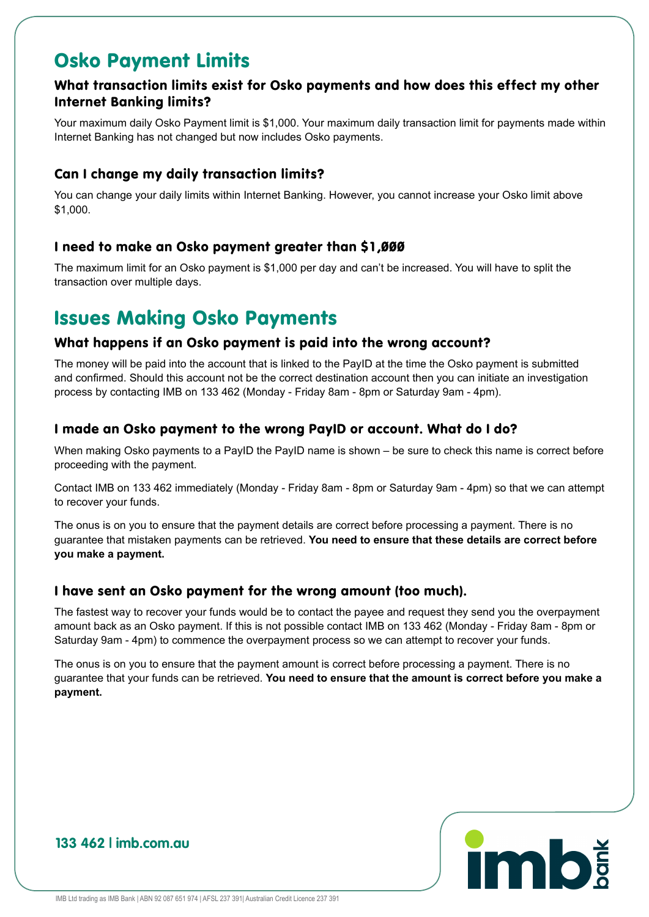### Osko Payment Limits

#### What transaction limits exist for Osko payments and how does this effect my other Internet Banking limits?

Your maximum daily Osko Payment limit is \$1,000. Your maximum daily transaction limit for payments made within Internet Banking has not changed but now includes Osko payments.

#### Can I change my daily transaction limits?

You can change your daily limits within Internet Banking. However, you cannot increase your Osko limit above \$1,000.

#### I need to make an Osko payment greater than \$1,000

The maximum limit for an Osko payment is \$1,000 per day and can't be increased. You will have to split the transaction over multiple days.

## Issues Making Osko Payments

#### What happens if an Osko payment is paid into the wrong account?

The money will be paid into the account that is linked to the PayID at the time the Osko payment is submitted and confirmed. Should this account not be the correct destination account then you can initiate an investigation process by contacting IMB on 133 462 (Monday - Friday 8am - 8pm or Saturday 9am - 4pm).

#### I made an Osko payment to the wrong PayID or account. What do I do?

When making Osko payments to a PayID the PayID name is shown – be sure to check this name is correct before proceeding with the payment.

Contact IMB on 133 462 immediately (Monday - Friday 8am - 8pm or Saturday 9am - 4pm) so that we can attempt to recover your funds.

The onus is on you to ensure that the payment details are correct before processing a payment. There is no guarantee that mistaken payments can be retrieved. **You need to ensure that these details are correct before you make a payment.**

#### I have sent an Osko payment for the wrong amount (too much).

The fastest way to recover your funds would be to contact the payee and request they send you the overpayment amount back as an Osko payment. If this is not possible contact IMB on 133 462 (Monday - Friday 8am - 8pm or Saturday 9am - 4pm) to commence the overpayment process so we can attempt to recover your funds.

The onus is on you to ensure that the payment amount is correct before processing a payment. There is no guarantee that your funds can be retrieved. **You need to ensure that the amount is correct before you make a payment.**

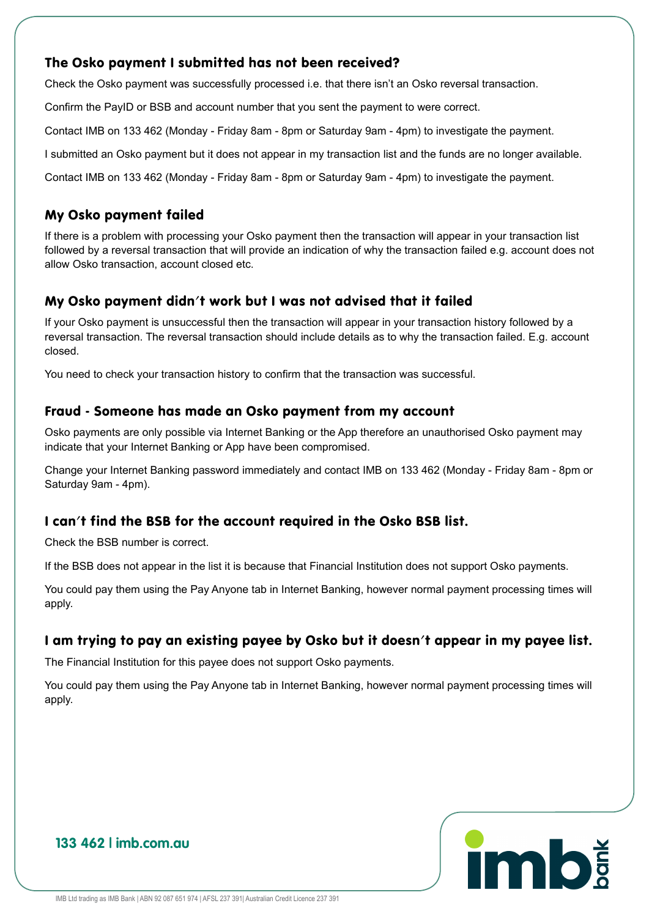#### The Osko payment I submitted has not been received?

Check the Osko payment was successfully processed i.e. that there isn't an Osko reversal transaction. Confirm the PayID or BSB and account number that you sent the payment to were correct. Contact IMB on 133 462 (Monday - Friday 8am - 8pm or Saturday 9am - 4pm) to investigate the payment. I submitted an Osko payment but it does not appear in my transaction list and the funds are no longer available. Contact IMB on 133 462 (Monday - Friday 8am - 8pm or Saturday 9am - 4pm) to investigate the payment.

#### My Osko payment failed

If there is a problem with processing your Osko payment then the transaction will appear in your transaction list followed by a reversal transaction that will provide an indication of why the transaction failed e.g. account does not allow Osko transaction, account closed etc.

#### My Osko payment didn't work but I was not advised that it failed

If your Osko payment is unsuccessful then the transaction will appear in your transaction history followed by a reversal transaction. The reversal transaction should include details as to why the transaction failed. E.g. account closed.

You need to check your transaction history to confirm that the transaction was successful.

#### Fraud - Someone has made an Osko payment from my account

Osko payments are only possible via Internet Banking or the App therefore an unauthorised Osko payment may indicate that your Internet Banking or App have been compromised.

Change your Internet Banking password immediately and contact IMB on 133 462 (Monday - Friday 8am - 8pm or Saturday 9am - 4pm).

#### I can't find the BSB for the account required in the Osko BSB list.

Check the BSB number is correct.

If the BSB does not appear in the list it is because that Financial Institution does not support Osko payments.

You could pay them using the Pay Anyone tab in Internet Banking, however normal payment processing times will apply.

#### I am trying to pay an existing payee by Osko but it doesn't appear in my payee list.

The Financial Institution for this payee does not support Osko payments.

You could pay them using the Pay Anyone tab in Internet Banking, however normal payment processing times will apply.